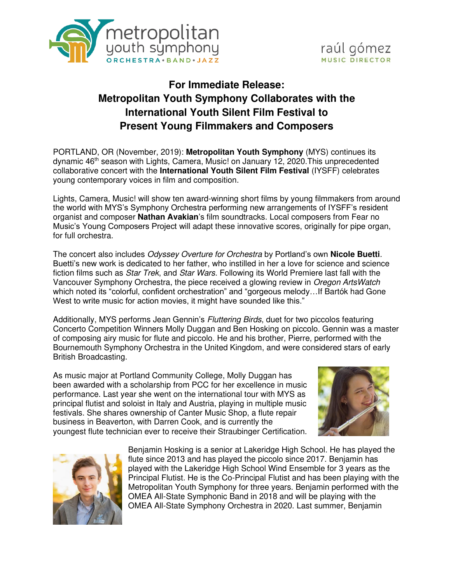



# **For Immediate Release: Metropolitan Youth Symphony Collaborates with the International Youth Silent Film Festival to Present Young Filmmakers and Composers**

PORTLAND, OR (November, 2019): **Metropolitan Youth Symphony** (MYS) continues its dynamic 46th season with Lights, Camera, Music! on January 12, 2020.This unprecedented collaborative concert with the **International Youth Silent Film Festival** (IYSFF) celebrates young contemporary voices in film and composition.

Lights, Camera, Music! will show ten award-winning short films by young filmmakers from around the world with MYS's Symphony Orchestra performing new arrangements of IYSFF's resident organist and composer **Nathan Avakian**'s film soundtracks. Local composers from Fear no Music's Young Composers Project will adapt these innovative scores, originally for pipe organ, for full orchestra.

The concert also includes Odyssey Overture for Orchestra by Portland's own **Nicole Buetti**. Buetti's new work is dedicated to her father, who instilled in her a love for science and science fiction films such as *Star Trek*, and *Star Wars*. Following its World Premiere last fall with the Vancouver Symphony Orchestra, the piece received a glowing review in Oregon ArtsWatch which noted its "colorful, confident orchestration" and "gorgeous melody…If Bartók had Gone West to write music for action movies, it might have sounded like this."

Additionally, MYS performs Jean Gennin's Fluttering Birds, duet for two piccolos featuring Concerto Competition Winners Molly Duggan and Ben Hosking on piccolo. Gennin was a master of composing airy music for flute and piccolo. He and his brother, Pierre, performed with the Bournemouth Symphony Orchestra in the United Kingdom, and were considered stars of early British Broadcasting.

As music major at Portland Community College, Molly Duggan has been awarded with a scholarship from PCC for her excellence in music performance. Last year she went on the international tour with MYS as principal flutist and soloist in Italy and Austria, playing in multiple music festivals. She shares ownership of Canter Music Shop, a flute repair business in Beaverton, with Darren Cook, and is currently the youngest flute technician ever to receive their Straubinger Certification.





Benjamin Hosking is a senior at Lakeridge High School. He has played the flute since 2013 and has played the piccolo since 2017. Benjamin has played with the Lakeridge High School Wind Ensemble for 3 years as the Principal Flutist. He is the Co-Principal Flutist and has been playing with the Metropolitan Youth Symphony for three years. Benjamin performed with the OMEA All-State Symphonic Band in 2018 and will be playing with the OMEA All-State Symphony Orchestra in 2020. Last summer, Benjamin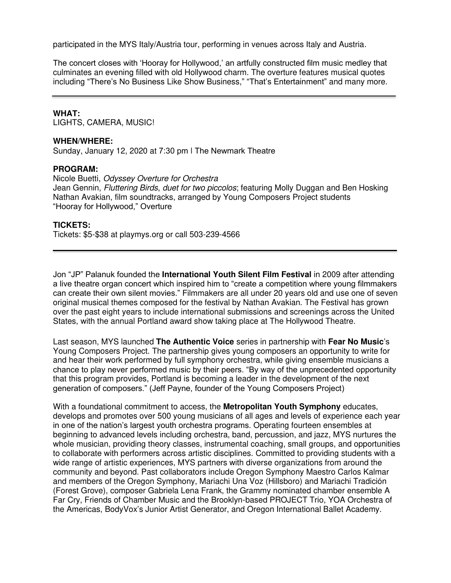participated in the MYS Italy/Austria tour, performing in venues across Italy and Austria.

The concert closes with 'Hooray for Hollywood,' an artfully constructed film music medley that culminates an evening filled with old Hollywood charm. The overture features musical quotes including "There's No Business Like Show Business," "That's Entertainment" and many more.

#### **WHAT:**

LIGHTS, CAMERA, MUSIC!

#### **WHEN/WHERE:**

Sunday, January 12, 2020 at 7:30 pm ǀ The Newmark Theatre

## **PROGRAM:**

Nicole Buetti, Odyssey Overture for Orchestra Jean Gennin, *Fluttering Birds, duet for two piccolos*; featuring Molly Duggan and Ben Hosking Nathan Avakian, film soundtracks, arranged by Young Composers Project students "Hooray for Hollywood," Overture

## **TICKETS:**

Tickets: \$5-\$38 at [playmys.org](http://www.playmys.org/) or call 503-239-4566

Jon "JP" Palanuk founded the **International Youth Silent Film Festival** in 2009 after attending a live theatre organ concert which inspired him to "create a competition where young filmmakers can create their own silent movies." Filmmakers are all under 20 years old and use one of seven original musical themes composed for the festival by Nathan Avakian. The Festival has grown over the past eight years to include international submissions and screenings across the United States, with the annual Portland award show taking place at The Hollywood Theatre.

Last season, MYS launched **The Authentic Voice** series in partnership with **Fear No Music**'s Young Composers Project. The partnership gives young composers an opportunity to write for and hear their work performed by full symphony orchestra, while giving ensemble musicians a chance to play never performed music by their peers. "By way of the unprecedented opportunity that this program provides, Portland is becoming a leader in the development of the next generation of composers." (Jeff Payne, founder of the Young Composers Project)

With a foundational commitment to access, the **Metropolitan Youth Symphony** educates, develops and promotes over 500 young musicians of all ages and levels of experience each year in one of the nation's largest youth orchestra programs. Operating fourteen ensembles at beginning to advanced levels including orchestra, band, percussion, and jazz, MYS nurtures the whole musician, providing theory classes, instrumental coaching, small groups, and opportunities to collaborate with performers across artistic disciplines. Committed to providing students with a wide range of artistic experiences, MYS partners with diverse organizations from around the community and beyond. Past collaborators include Oregon Symphony Maestro Carlos Kalmar and members of the Oregon Symphony, Mariachi Una Voz (Hillsboro) and Mariachi Tradición (Forest Grove), composer Gabriela Lena Frank, the Grammy nominated chamber ensemble A Far Cry, Friends of Chamber Music and the Brooklyn-based PROJECT Trio, YOA Orchestra of the Americas, BodyVox's Junior Artist Generator, and Oregon International Ballet Academy.